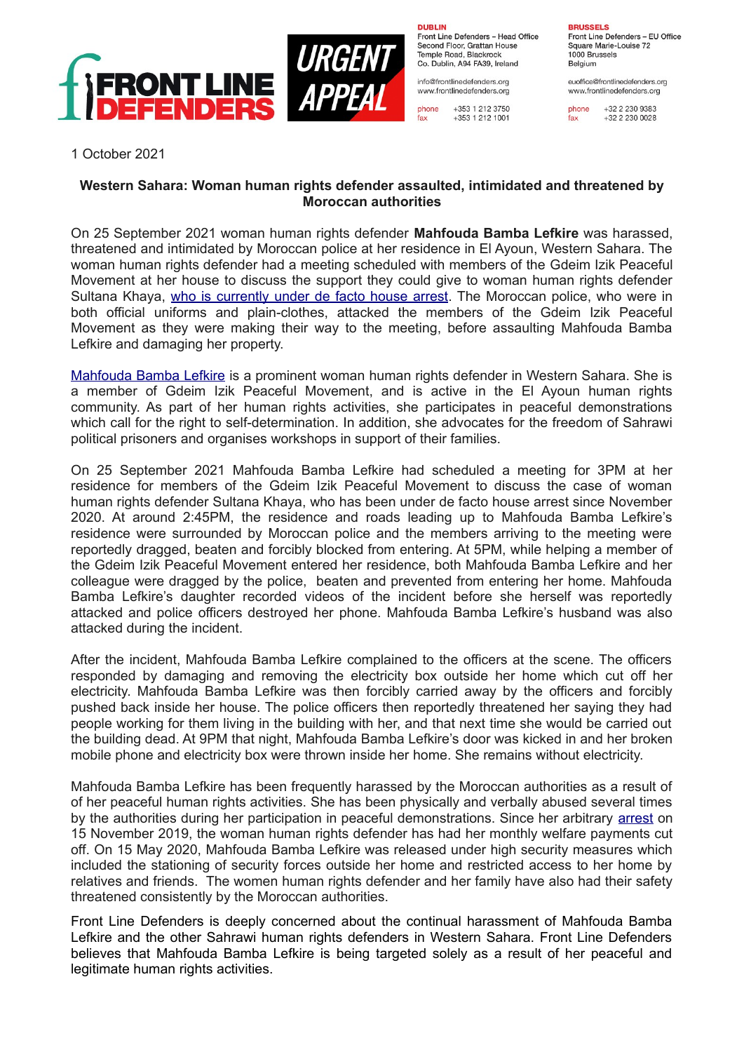

**DURLIN** Front Line Defenders - Head Office

Second Floor, Grattan House Temple Boad, Blackrock Co. Dublin, A94 FA39, Ireland

info@frontlinedefenders.org www.frontlinedefenders.org

+353 1 212 3750 phone fax +353 1 212 1001 **BDHCCELC** Front Line Defenders - EU Office Square Marie-Louise 72 1000 Brussels Belgium

euoffice@frontlinedefenders.org www.frontlinedefenders.org

phone +32 2 230 9383 fax +32 2 230 0028

1 October 2021

## **Western Sahara: Woman human rights defender assaulted, intimidated and threatened by Moroccan authorities**

On 25 September 2021 woman human rights defender **Mahfouda Bamba Lefkire** was harassed, threatened and intimidated by Moroccan police at her residence in El Ayoun, Western Sahara. The woman human rights defender had a meeting scheduled with members of the Gdeim Izik Peaceful Movement at her house to discuss the support they could give to woman human rights defender Sultana Khaya, [who is currently under de facto house arrest.](https://www.frontlinedefenders.org/en/case/house-arrest-and-physical-assault-woman-human-rights-defender-sultana-khaya) The Moroccan police, who were in both official uniforms and plain-clothes, attacked the members of the Gdeim Izik Peaceful Movement as they were making their way to the meeting, before assaulting Mahfouda Bamba Lefkire and damaging her property.

[Mahfouda Bamba Lefkire](https://www.frontlinedefenders.org/en/profile/mahfouda-bamba-lefkire) is a prominent woman human rights defender in Western Sahara. She is a member of Gdeim Izik Peaceful Movement, and is active in the El Ayoun human rights community. As part of her human rights activities, she participates in peaceful demonstrations which call for the right to self-determination. In addition, she advocates for the freedom of Sahrawi political prisoners and organises workshops in support of their families.

On 25 September 2021 Mahfouda Bamba Lefkire had scheduled a meeting for 3PM at her residence for members of the Gdeim Izik Peaceful Movement to discuss the case of woman human rights defender Sultana Khaya, who has been under de facto house arrest since November 2020. At around 2:45PM, the residence and roads leading up to Mahfouda Bamba Lefkire's residence were surrounded by Moroccan police and the members arriving to the meeting were reportedly dragged, beaten and forcibly blocked from entering. At 5PM, while helping a member of the Gdeim Izik Peaceful Movement entered her residence, both Mahfouda Bamba Lefkire and her colleague were dragged by the police, beaten and prevented from entering her home. Mahfouda Bamba Lefkire's daughter recorded videos of the incident before she herself was reportedly attacked and police officers destroyed her phone. Mahfouda Bamba Lefkire's husband was also attacked during the incident.

After the incident, Mahfouda Bamba Lefkire complained to the officers at the scene. The officers responded by damaging and removing the electricity box outside her home which cut off her electricity. Mahfouda Bamba Lefkire was then forcibly carried away by the officers and forcibly pushed back inside her house. The police officers then reportedly threatened her saying they had people working for them living in the building with her, and that next time she would be carried out the building dead. At 9PM that night, Mahfouda Bamba Lefkire's door was kicked in and her broken mobile phone and electricity box were thrown inside her home. She remains without electricity.

Mahfouda Bamba Lefkire has been frequently harassed by the Moroccan authorities as a result of of her peaceful human rights activities. She has been physically and verbally abused several times by the authorities during her participation in peaceful demonstrations. Since her arbitrary [arrest](https://www.frontlinedefenders.org/en/case/arbitrary-detention-woman-human-rights-defender-mahfouda-bamba-lefkire#case-update-id-10664) on 15 November 2019, the woman human rights defender has had her monthly welfare payments cut off. On 15 May 2020, Mahfouda Bamba Lefkire was released under high security measures which included the stationing of security forces outside her home and restricted access to her home by relatives and friends. The women human rights defender and her family have also had their safety threatened consistently by the Moroccan authorities.

Front Line Defenders is deeply concerned about the continual harassment of Mahfouda Bamba Lefkire and the other Sahrawi human rights defenders in Western Sahara. Front Line Defenders believes that Mahfouda Bamba Lefkire is being targeted solely as a result of her peaceful and legitimate human rights activities.